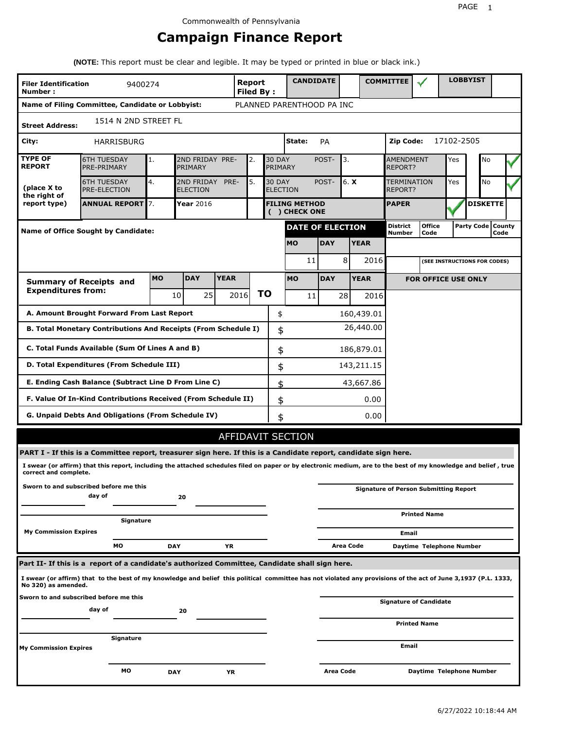# **Campaign Finance Report**

**(NOTE:** This report must be clear and legible. It may be typed or printed in blue or black ink.)

| <b>Filer Identification</b><br>Number: | 9400274                                                                                                                                                         |           |                               |             | <b>Report</b><br><b>Filed By:</b> |               |                                       | <b>CANDIDATE</b> |                  |             | <b>COMMITTEE</b>                             |                            |            | <b>LOBBYIST</b>              |                             |
|----------------------------------------|-----------------------------------------------------------------------------------------------------------------------------------------------------------------|-----------|-------------------------------|-------------|-----------------------------------|---------------|---------------------------------------|------------------|------------------|-------------|----------------------------------------------|----------------------------|------------|------------------------------|-----------------------------|
|                                        | Name of Filing Committee, Candidate or Lobbyist:                                                                                                                |           |                               |             |                                   |               | PLANNED PARENTHOOD PA INC             |                  |                  |             |                                              |                            |            |                              |                             |
| <b>Street Address:</b>                 | 1514 N 2ND STREET FL                                                                                                                                            |           |                               |             |                                   |               |                                       |                  |                  |             |                                              |                            |            |                              |                             |
| City:                                  | HARRISBURG                                                                                                                                                      |           |                               |             |                                   |               | State:                                | PA               |                  |             | Zip Code:                                    |                            | 17102-2505 |                              |                             |
| <b>TYPE OF</b><br><b>REPORT</b>        | <b>6TH TUESDAY</b><br>PRE-PRIMARY                                                                                                                               | 1.        | 2ND FRIDAY PRE-<br>PRIMARY    |             | 2.                                | <b>30 DAY</b> | PRIMARY                               | POST-            | 3.               |             | <b>AMENDMENT</b><br><b>REPORT?</b>           |                            | Yes        | No                           |                             |
| (place X to<br>the right of            | <b>6TH TUESDAY</b><br><b>PRE-ELECTION</b>                                                                                                                       | 4.        | 2ND FRIDAY<br><b>ELECTION</b> | PRE-        | 5.                                | <b>30 DAY</b> | <b>ELECTION</b>                       | POST-            |                  | 6. X        | <b>TERMINATION</b><br>REPORT?                |                            | Yes        | No                           |                             |
| report type)                           | <b>ANNUAL REPORT</b> 7.                                                                                                                                         |           | Year 2016                     |             |                                   |               | <b>FILING METHOD</b><br>( ) CHECK ONE |                  |                  |             | <b>PAPER</b>                                 |                            |            | <b>DISKETTE</b>              |                             |
|                                        | Name of Office Sought by Candidate:                                                                                                                             |           |                               |             |                                   |               | <b>DATE OF ELECTION</b>               |                  |                  |             | <b>District</b><br>Number                    | <b>Office</b><br>Code      |            |                              | Party Code   County<br>Code |
|                                        |                                                                                                                                                                 |           |                               |             |                                   |               | <b>MO</b>                             | <b>DAY</b>       |                  | <b>YEAR</b> |                                              |                            |            |                              |                             |
|                                        |                                                                                                                                                                 |           |                               |             |                                   |               |                                       | 11               | 8                | 2016        |                                              |                            |            | (SEE INSTRUCTIONS FOR CODES) |                             |
|                                        | <b>Summary of Receipts and</b>                                                                                                                                  | <b>MO</b> | <b>DAY</b>                    | <b>YEAR</b> |                                   |               | <b>MO</b>                             | <b>DAY</b>       |                  | <b>YEAR</b> |                                              | <b>FOR OFFICE USE ONLY</b> |            |                              |                             |
| <b>Expenditures from:</b>              |                                                                                                                                                                 |           | 25 <sub>1</sub><br>10         |             | 2016                              | ΤO            |                                       | 11               | 28               | 2016        |                                              |                            |            |                              |                             |
|                                        | A. Amount Brought Forward From Last Report                                                                                                                      |           |                               |             |                                   | \$            |                                       |                  |                  | 160,439.01  |                                              |                            |            |                              |                             |
|                                        | B. Total Monetary Contributions And Receipts (From Schedule I)                                                                                                  |           |                               |             |                                   |               | \$                                    |                  |                  | 26,440.00   |                                              |                            |            |                              |                             |
|                                        | C. Total Funds Available (Sum Of Lines A and B)                                                                                                                 |           |                               |             |                                   |               | \$                                    |                  |                  | 186,879.01  |                                              |                            |            |                              |                             |
|                                        | D. Total Expenditures (From Schedule III)                                                                                                                       |           |                               |             |                                   |               | \$                                    |                  |                  | 143,211.15  |                                              |                            |            |                              |                             |
|                                        | E. Ending Cash Balance (Subtract Line D From Line C)                                                                                                            |           |                               |             |                                   |               | \$                                    |                  |                  | 43,667.86   |                                              |                            |            |                              |                             |
|                                        | F. Value Of In-Kind Contributions Received (From Schedule II)                                                                                                   |           |                               |             |                                   |               | \$                                    |                  |                  | 0.00        |                                              |                            |            |                              |                             |
|                                        | G. Unpaid Debts And Obligations (From Schedule IV)                                                                                                              |           |                               |             |                                   |               | \$                                    |                  |                  | 0.00        |                                              |                            |            |                              |                             |
|                                        |                                                                                                                                                                 |           |                               |             |                                   |               | AFFIDAVIT SECTION                     |                  |                  |             |                                              |                            |            |                              |                             |
|                                        | PART I - If this is a Committee report, treasurer sign here. If this is a Candidate report, candidate sign here.                                                |           |                               |             |                                   |               |                                       |                  |                  |             |                                              |                            |            |                              |                             |
| correct and complete.                  | I swear (or affirm) that this report, including the attached schedules filed on paper or by electronic medium, are to the best of my knowledge and belief, true |           |                               |             |                                   |               |                                       |                  |                  |             |                                              |                            |            |                              |                             |
|                                        | Sworn to and subscribed before me this<br>day of                                                                                                                |           | 20                            |             |                                   |               |                                       |                  |                  |             | <b>Signature of Person Submitting Report</b> |                            |            |                              |                             |
|                                        |                                                                                                                                                                 |           |                               |             |                                   |               |                                       |                  |                  |             |                                              | <b>Printed Name</b>        |            |                              |                             |
| <b>My Commission Expires</b>           | Signature                                                                                                                                                       |           |                               |             |                                   |               |                                       |                  |                  |             | Email                                        |                            |            |                              |                             |
|                                        | МO                                                                                                                                                              |           | <b>DAY</b>                    | YR          |                                   |               |                                       |                  | <b>Area Code</b> |             |                                              | Daytime Telephone Number   |            |                              |                             |
|                                        | Part II- If this is a report of a candidate's authorized Committee, Candidate shall sign here.                                                                  |           |                               |             |                                   |               |                                       |                  |                  |             |                                              |                            |            |                              |                             |
| No 320) as amended.                    | I swear (or affirm) that to the best of my knowledge and belief this political committee has not violated any provisions of the act of June 3,1937 (P.L. 1333,  |           |                               |             |                                   |               |                                       |                  |                  |             |                                              |                            |            |                              |                             |
|                                        | Sworn to and subscribed before me this<br>day of                                                                                                                |           | 20                            |             |                                   |               |                                       |                  |                  |             | <b>Signature of Candidate</b>                |                            |            |                              |                             |
|                                        |                                                                                                                                                                 |           |                               |             |                                   |               |                                       |                  |                  |             |                                              | <b>Printed Name</b>        |            |                              |                             |
| My Commission Expires                  | Signature                                                                                                                                                       |           |                               |             |                                   |               |                                       |                  |                  |             | Email                                        |                            |            |                              |                             |
|                                        | МO                                                                                                                                                              |           | <b>DAY</b>                    | YR          |                                   |               |                                       |                  | Area Code        |             |                                              | Daytime Telephone Number   |            |                              |                             |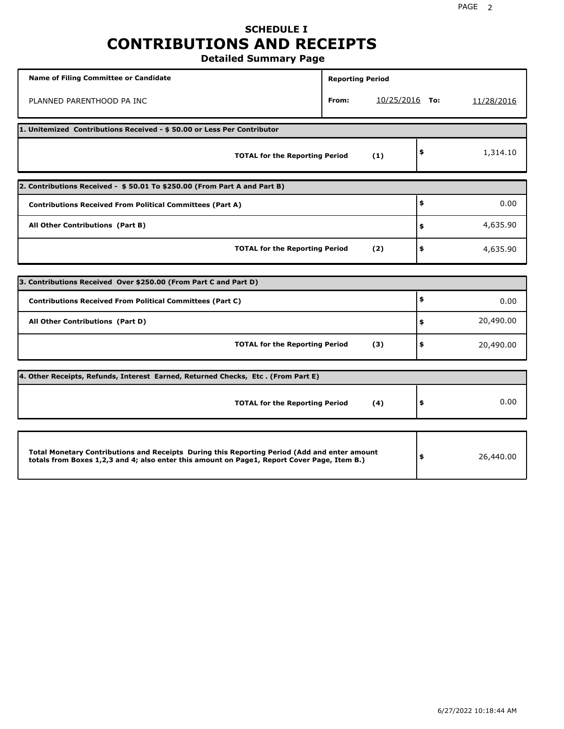## **SCHEDULE I CONTRIBUTIONS AND RECEIPTS Detailed Summary Page**

**Name of Filing Committee or Candidate Reporting Period Reporting Period** PLANNED PARENTHOOD PA INC **From:** 10/25/2016 **To:** 11/28/2016 **1. Unitemized Contributions Received - \$ 50.00 or Less Per Contributor TOTAL for the Reporting Period (1) \$** 1,314.10 **2. Contributions Received - \$ 50.01 To \$250.00 (From Part A and Part B) TOTAL for the Reporting Period (2) Contributions Received From Political Committees (Part A) All Other Contributions (Part B) \$ \$ \$** 0.00 4,635.90 4,635.90 **3. Contributions Received Over \$250.00 (From Part C and Part D) TOTAL for the Reporting Period (3) Contributions Received From Political Committees (Part C) All Other Contributions (Part D) \$ \$ \$** 0.00 20,490.00 20,490.00 **4. Other Receipts, Refunds, Interest Earned, Returned Checks, Etc . (From Part E) TOTAL for the Reporting Period (4) \$** 0.00 **Total Monetary Contributions and Receipts During this Reporting Period (Add and enter amount totals from Boxes 1,2,3 and 4; also enter this amount on Page1, Report Cover Page, Item B.) \$** 26,440.00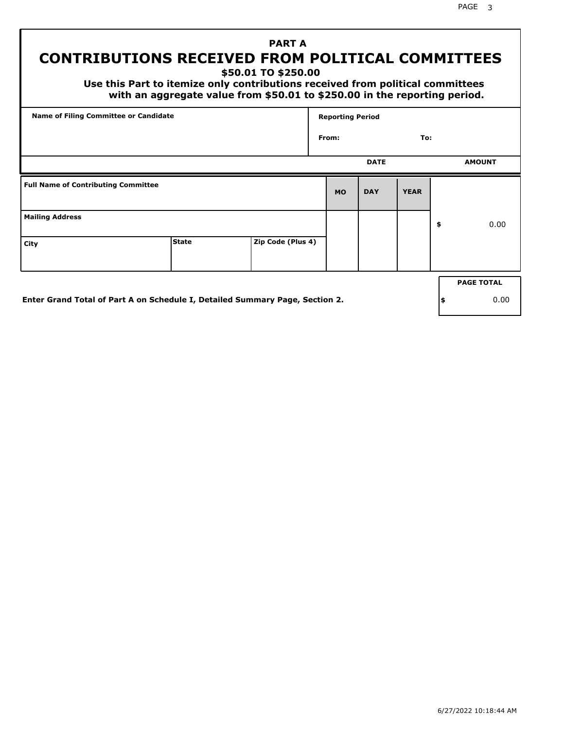PAGE 3

# **PART A CONTRIBUTIONS RECEIVED FROM POLITICAL COMMITTEES**

**\$50.01 TO \$250.00**

 **Use this Part to itemize only contributions received from political committees with an aggregate value from \$50.01 to \$250.00 in the reporting period.**

|                                            | Name of Filing Committee or Candidate                                        |                   |           |             | <b>Reporting Period</b> |     |                   |  |  |  |
|--------------------------------------------|------------------------------------------------------------------------------|-------------------|-----------|-------------|-------------------------|-----|-------------------|--|--|--|
|                                            |                                                                              |                   | From:     |             | To:                     |     |                   |  |  |  |
|                                            |                                                                              |                   |           | <b>DATE</b> |                         |     | <b>AMOUNT</b>     |  |  |  |
| <b>Full Name of Contributing Committee</b> |                                                                              |                   | <b>MO</b> | <b>DAY</b>  | <b>YEAR</b>             |     |                   |  |  |  |
| <b>Mailing Address</b>                     |                                                                              |                   |           |             |                         | \$  | 0.00              |  |  |  |
| City                                       | <b>State</b>                                                                 | Zip Code (Plus 4) |           |             |                         |     |                   |  |  |  |
|                                            |                                                                              |                   |           |             |                         |     | <b>PAGE TOTAL</b> |  |  |  |
|                                            | Enter Grand Total of Part A on Schedule I, Detailed Summary Page, Section 2. |                   |           |             |                         | ∣\$ | 0.00              |  |  |  |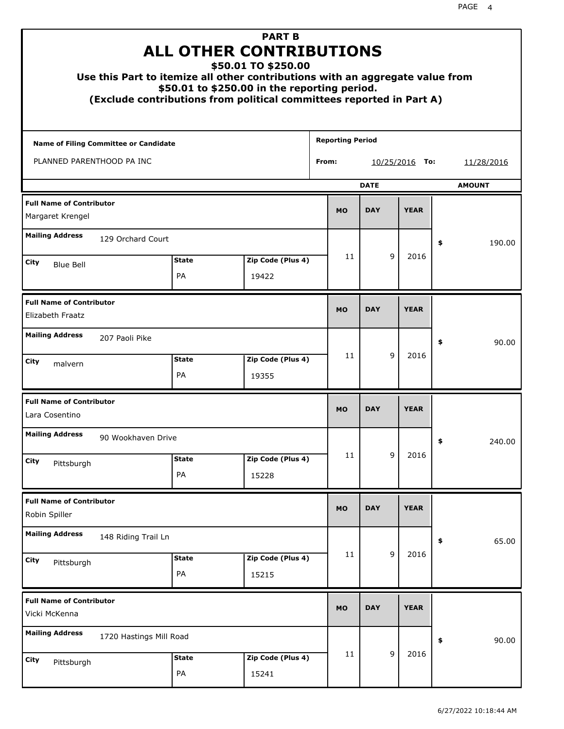| Use this Part to itemize all other contributions with an aggregate value from |                    | <b>PART B</b><br><b>ALL OTHER CONTRIBUTIONS</b><br>\$50.01 TO \$250.00<br>\$50.01 to \$250.00 in the reporting period.<br>(Exclude contributions from political committees reported in Part A) |                         |             |                  |               |
|-------------------------------------------------------------------------------|--------------------|------------------------------------------------------------------------------------------------------------------------------------------------------------------------------------------------|-------------------------|-------------|------------------|---------------|
| Name of Filing Committee or Candidate                                         |                    |                                                                                                                                                                                                | <b>Reporting Period</b> |             |                  |               |
| PLANNED PARENTHOOD PA INC                                                     |                    |                                                                                                                                                                                                | From:                   |             | $10/25/2016$ To: | 11/28/2016    |
|                                                                               |                    |                                                                                                                                                                                                |                         | <b>DATE</b> |                  | <b>AMOUNT</b> |
| <b>Full Name of Contributor</b><br>Margaret Krengel                           |                    |                                                                                                                                                                                                | <b>MO</b>               | <b>DAY</b>  | <b>YEAR</b>      |               |
| <b>Mailing Address</b><br>129 Orchard Court                                   |                    |                                                                                                                                                                                                |                         |             |                  | \$<br>190.00  |
| City                                                                          | <b>State</b>       | Zip Code (Plus 4)                                                                                                                                                                              | 11                      | 9           | 2016             |               |
| <b>Blue Bell</b>                                                              | PA                 | 19422                                                                                                                                                                                          |                         |             |                  |               |
| <b>Full Name of Contributor</b><br>Elizabeth Fraatz                           |                    |                                                                                                                                                                                                | <b>MO</b>               | <b>DAY</b>  | <b>YEAR</b>      |               |
| <b>Mailing Address</b><br>207 Paoli Pike                                      |                    |                                                                                                                                                                                                |                         |             |                  | \$<br>90.00   |
| City<br>malvern                                                               | <b>State</b><br>PA | Zip Code (Plus 4)<br>19355                                                                                                                                                                     | 11                      | 9           | 2016             |               |
| <b>Full Name of Contributor</b><br>Lara Cosentino                             |                    |                                                                                                                                                                                                | <b>MO</b>               | <b>DAY</b>  | <b>YEAR</b>      |               |
| <b>Mailing Address</b><br>90 Wookhaven Drive                                  |                    |                                                                                                                                                                                                |                         |             |                  | 240.00<br>÷,  |
| <b>City</b><br>Pittsburgh                                                     | <b>State</b>       | Zip Code (Plus 4)                                                                                                                                                                              | 11                      | 9           | 2016             |               |
|                                                                               | PA                 | 15228                                                                                                                                                                                          |                         |             |                  |               |
| <b>Full Name of Contributor</b><br>Robin Spiller                              |                    |                                                                                                                                                                                                | <b>MO</b>               | <b>DAY</b>  | <b>YEAR</b>      |               |
| <b>Mailing Address</b><br>148 Riding Trail Ln                                 |                    |                                                                                                                                                                                                |                         |             |                  | \$<br>65.00   |
| <b>City</b><br>Pittsburgh                                                     | <b>State</b><br>PA | Zip Code (Plus 4)<br>15215                                                                                                                                                                     | 11                      | 9           | 2016             |               |
| <b>Full Name of Contributor</b><br>Vicki McKenna                              |                    |                                                                                                                                                                                                | <b>MO</b>               | <b>DAY</b>  | <b>YEAR</b>      |               |
| <b>Mailing Address</b><br>1720 Hastings Mill Road                             |                    |                                                                                                                                                                                                |                         |             |                  | \$<br>90.00   |
| <b>City</b><br>Pittsburgh                                                     | <b>State</b><br>PA | Zip Code (Plus 4)<br>15241                                                                                                                                                                     | 11                      | 9           | 2016             |               |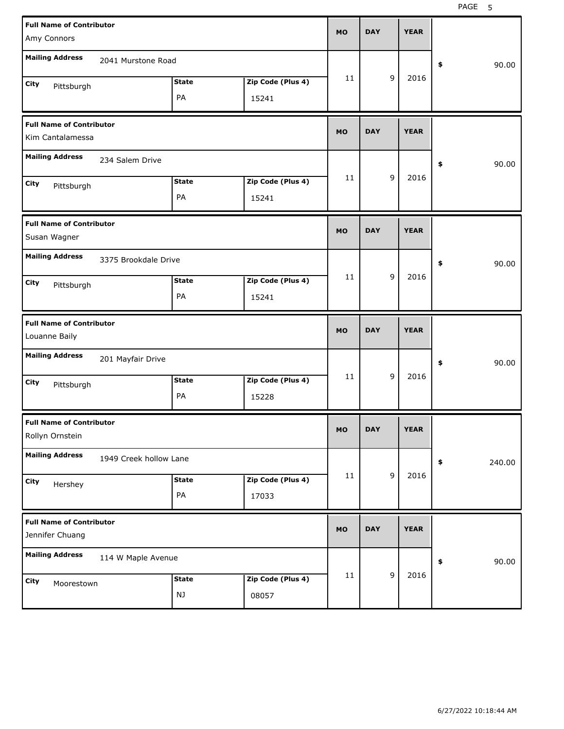| <b>Full Name of Contributor</b><br>Amy Connors                         | <b>MO</b> | <b>DAY</b> |             | <b>YEAR</b> |              |
|------------------------------------------------------------------------|-----------|------------|-------------|-------------|--------------|
| <b>Mailing Address</b><br>2041 Murstone Road                           |           |            |             |             | 90.00<br>\$  |
| <b>State</b><br>Zip Code (Plus 4)<br>City<br>Pittsburgh<br>PA<br>15241 | 11        |            | 9           | 2016        |              |
| <b>Full Name of Contributor</b><br>Kim Cantalamessa                    | <b>MO</b> | <b>DAY</b> |             | <b>YEAR</b> |              |
| <b>Mailing Address</b><br>234 Salem Drive                              |           |            |             |             | 90.00<br>\$  |
| Zip Code (Plus 4)<br><b>State</b><br>City<br>Pittsburgh<br>PA<br>15241 | 11        |            | 9           | 2016        |              |
| <b>Full Name of Contributor</b><br>Susan Wagner                        | <b>MO</b> | <b>DAY</b> |             | <b>YEAR</b> |              |
| <b>Mailing Address</b><br>3375 Brookdale Drive                         |           |            |             |             | \$<br>90.00  |
| <b>State</b><br>Zip Code (Plus 4)<br>City<br>Pittsburgh<br>PA<br>15241 | 11        |            | 9           | 2016        |              |
|                                                                        |           |            |             |             |              |
| <b>Full Name of Contributor</b><br>Louanne Baily                       | <b>MO</b> | <b>DAY</b> |             | <b>YEAR</b> |              |
| <b>Mailing Address</b><br>201 Mayfair Drive                            |           |            |             |             | \$<br>90.00  |
| <b>State</b><br>Zip Code (Plus 4)<br>City<br>Pittsburgh<br>PA<br>15228 | 11        |            | 9           | 2016        |              |
| <b>Full Name of Contributor</b><br>Rollyn Ornstein                     | <b>MO</b> | <b>DAY</b> |             | <b>YEAR</b> |              |
| <b>Mailing Address</b><br>1949 Creek hollow Lane                       |           |            |             |             | \$<br>240.00 |
| Zip Code (Plus 4)<br><b>State</b><br>City<br>Hershey<br>PA<br>17033    | 11        |            | $\mathsf g$ | 2016        |              |
| <b>Full Name of Contributor</b><br>Jennifer Chuang                     | <b>MO</b> | <b>DAY</b> |             | <b>YEAR</b> |              |
| <b>Mailing Address</b><br>114 W Maple Avenue                           | 11        |            | $\mathsf g$ | 2016        | 90.00<br>\$  |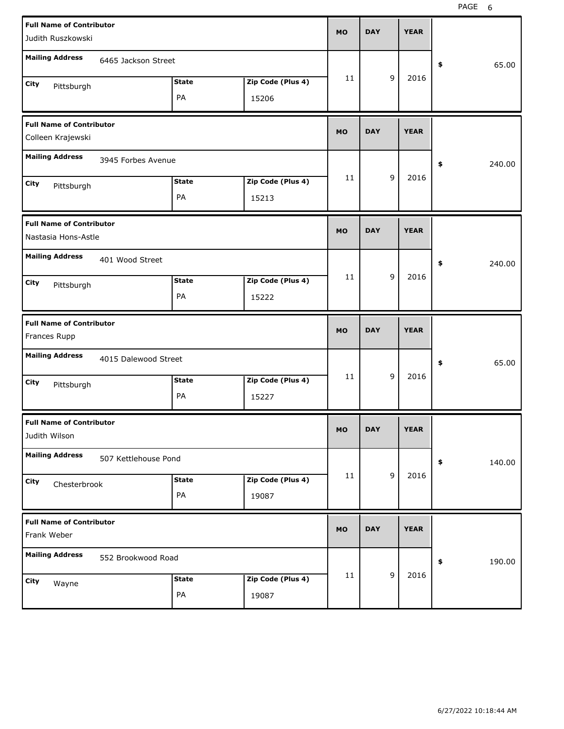| <b>Full Name of Contributor</b><br>Judith Ruszkowski   |                      |                    |                            | <b>MO</b> | <b>DAY</b> |             | <b>YEAR</b> |              |
|--------------------------------------------------------|----------------------|--------------------|----------------------------|-----------|------------|-------------|-------------|--------------|
| <b>Mailing Address</b>                                 | 6465 Jackson Street  |                    |                            |           |            |             |             | \$<br>65.00  |
| City<br>Pittsburgh                                     |                      | <b>State</b><br>PA | Zip Code (Plus 4)<br>15206 | 11        |            | 9           | 2016        |              |
| <b>Full Name of Contributor</b><br>Colleen Krajewski   |                      |                    |                            | <b>MO</b> | <b>DAY</b> |             | <b>YEAR</b> |              |
| <b>Mailing Address</b>                                 | 3945 Forbes Avenue   |                    |                            |           |            |             |             | \$<br>240.00 |
| City<br>Pittsburgh                                     |                      | <b>State</b><br>PA | Zip Code (Plus 4)<br>15213 | 11        |            | 9           | 2016        |              |
| <b>Full Name of Contributor</b><br>Nastasia Hons-Astle |                      |                    |                            | <b>MO</b> | <b>DAY</b> |             | <b>YEAR</b> |              |
| <b>Mailing Address</b>                                 | 401 Wood Street      |                    |                            |           |            |             |             | \$<br>240.00 |
| City<br>Pittsburgh                                     |                      | <b>State</b><br>PA | Zip Code (Plus 4)<br>15222 | 11        |            | 9           | 2016        |              |
|                                                        |                      |                    |                            |           |            |             |             |              |
| <b>Full Name of Contributor</b><br>Frances Rupp        |                      |                    |                            | <b>MO</b> | <b>DAY</b> |             | <b>YEAR</b> |              |
| <b>Mailing Address</b>                                 | 4015 Dalewood Street |                    |                            |           |            |             |             | \$<br>65.00  |
| City<br>Pittsburgh                                     |                      | <b>State</b><br>PA | Zip Code (Plus 4)<br>15227 | 11        |            | 9           | 2016        |              |
| <b>Full Name of Contributor</b><br>Judith Wilson       |                      |                    |                            | <b>MO</b> | <b>DAY</b> |             | <b>YEAR</b> |              |
| <b>Mailing Address</b>                                 | 507 Kettlehouse Pond |                    |                            |           |            |             |             | \$<br>140.00 |
| City<br>Chesterbrook                                   |                      | <b>State</b><br>PA | Zip Code (Plus 4)<br>19087 | 11        |            | $\mathsf g$ | 2016        |              |
| <b>Full Name of Contributor</b><br>Frank Weber         |                      |                    |                            | <b>MO</b> | <b>DAY</b> |             | <b>YEAR</b> |              |
| <b>Mailing Address</b>                                 | 552 Brookwood Road   |                    |                            |           |            | $\mathsf g$ | 2016        | \$<br>190.00 |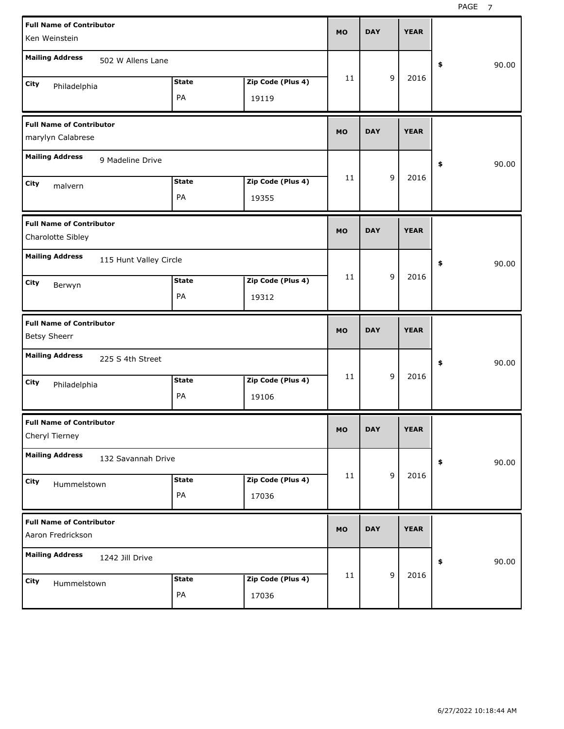| <b>Full Name of Contributor</b><br>Ken Weinstein       |              |                   | MO  | <b>DAY</b> |             | <b>YEAR</b> |             |
|--------------------------------------------------------|--------------|-------------------|-----|------------|-------------|-------------|-------------|
| <b>Mailing Address</b><br>502 W Allens Lane            |              |                   |     |            |             |             | \$<br>90.00 |
| City<br>Philadelphia                                   | <b>State</b> | Zip Code (Plus 4) | 11  |            | 9           | 2016        |             |
|                                                        | PA           | 19119             |     |            |             |             |             |
| <b>Full Name of Contributor</b><br>marylyn Calabrese   |              |                   | MO  | <b>DAY</b> |             | <b>YEAR</b> |             |
| <b>Mailing Address</b><br>9 Madeline Drive             |              |                   |     |            |             |             | \$<br>90.00 |
| City<br>malvern                                        | <b>State</b> | Zip Code (Plus 4) | 11  |            | 9           | 2016        |             |
|                                                        | PA           | 19355             |     |            |             |             |             |
| <b>Full Name of Contributor</b><br>Charolotte Sibley   |              |                   | MO  | <b>DAY</b> |             | <b>YEAR</b> |             |
| <b>Mailing Address</b><br>115 Hunt Valley Circle       |              |                   |     |            |             |             | \$<br>90.00 |
| City<br>Berwyn                                         | <b>State</b> | Zip Code (Plus 4) | 11  |            | 9           | 2016        |             |
|                                                        | PA           | 19312             |     |            |             |             |             |
|                                                        |              |                   |     |            |             |             |             |
| <b>Full Name of Contributor</b><br><b>Betsy Sheerr</b> |              |                   | MO  | <b>DAY</b> |             | <b>YEAR</b> |             |
| <b>Mailing Address</b><br>225 S 4th Street             |              |                   |     |            |             |             | \$<br>90.00 |
| City                                                   | <b>State</b> | Zip Code (Plus 4) | 11  |            | 9           | 2016        |             |
| Philadelphia                                           | PA           | 19106             |     |            |             |             |             |
| <b>Full Name of Contributor</b><br>Cheryl Tierney      |              |                   | MU. | DAY        |             | <b>YEAR</b> |             |
| <b>Mailing Address</b><br>132 Savannah Drive           |              |                   |     |            |             |             | \$<br>90.00 |
| City                                                   | <b>State</b> | Zip Code (Plus 4) | 11  |            | $\mathsf g$ | 2016        |             |
| Hummelstown                                            | PA           | 17036             |     |            |             |             |             |
| <b>Full Name of Contributor</b><br>Aaron Fredrickson   |              |                   | MO  | <b>DAY</b> |             | <b>YEAR</b> |             |
| <b>Mailing Address</b><br>1242 Jill Drive              |              |                   |     |            |             |             | \$<br>90.00 |
| City<br>Hummelstown                                    | <b>State</b> | Zip Code (Plus 4) | 11  |            | $\mathsf g$ | 2016        |             |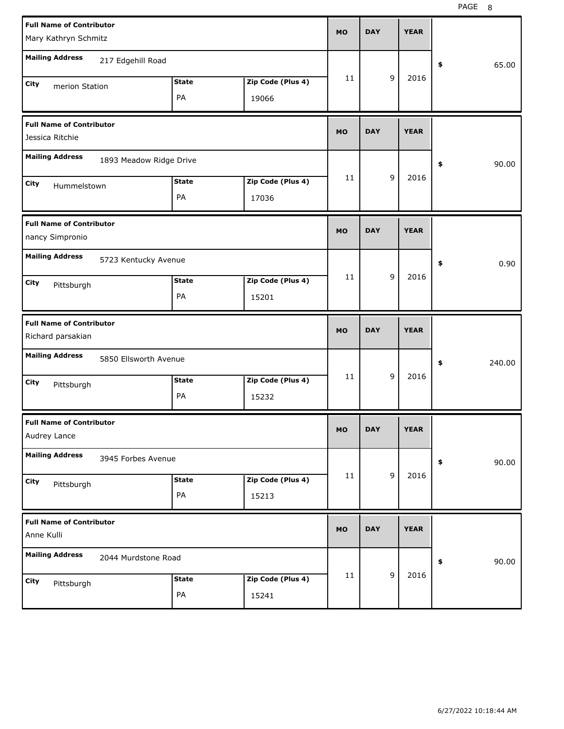| <b>Full Name of Contributor</b><br>Mary Kathryn Schmitz |                         |                    |                            | <b>MO</b> | <b>DAY</b> |             | <b>YEAR</b> |              |
|---------------------------------------------------------|-------------------------|--------------------|----------------------------|-----------|------------|-------------|-------------|--------------|
| <b>Mailing Address</b>                                  | 217 Edgehill Road       |                    |                            |           |            |             |             | \$<br>65.00  |
| City<br>merion Station                                  |                         | <b>State</b><br>PA | Zip Code (Plus 4)<br>19066 | 11        |            | 9           | 2016        |              |
| <b>Full Name of Contributor</b><br>Jessica Ritchie      |                         |                    |                            | <b>MO</b> | <b>DAY</b> |             | <b>YEAR</b> |              |
| <b>Mailing Address</b>                                  | 1893 Meadow Ridge Drive |                    |                            |           |            |             |             | \$<br>90.00  |
| City<br>Hummelstown                                     |                         | <b>State</b><br>PA | Zip Code (Plus 4)<br>17036 | 11        |            | 9           | 2016        |              |
| <b>Full Name of Contributor</b><br>nancy Simpronio      |                         |                    |                            | <b>MO</b> | <b>DAY</b> |             | <b>YEAR</b> |              |
| <b>Mailing Address</b>                                  | 5723 Kentucky Avenue    |                    |                            |           |            |             |             | \$<br>0.90   |
| City<br>Pittsburgh                                      |                         | <b>State</b><br>PA | Zip Code (Plus 4)<br>15201 | 11        |            | 9           | 2016        |              |
|                                                         |                         |                    |                            |           |            |             |             |              |
| <b>Full Name of Contributor</b><br>Richard parsakian    |                         |                    |                            | <b>MO</b> | <b>DAY</b> |             | <b>YEAR</b> |              |
| <b>Mailing Address</b>                                  | 5850 Ellsworth Avenue   |                    |                            |           |            |             |             | \$<br>240.00 |
| City<br>Pittsburgh                                      |                         | <b>State</b><br>PA | Zip Code (Plus 4)<br>15232 | 11        |            | 9           | 2016        |              |
| <b>Full Name of Contributor</b><br>Audrey Lance         |                         |                    |                            | <b>MO</b> | <b>DAY</b> |             | <b>YEAR</b> |              |
| <b>Mailing Address</b>                                  | 3945 Forbes Avenue      |                    |                            |           |            |             |             | \$<br>90.00  |
| City<br>Pittsburgh                                      |                         | <b>State</b><br>PA | Zip Code (Plus 4)<br>15213 | 11        |            | $\mathsf g$ | 2016        |              |
| <b>Full Name of Contributor</b><br>Anne Kulli           |                         |                    |                            | <b>MO</b> | <b>DAY</b> |             | <b>YEAR</b> |              |
| <b>Mailing Address</b>                                  | 2044 Murdstone Road     |                    |                            |           |            | $\mathsf g$ | 2016        | \$<br>90.00  |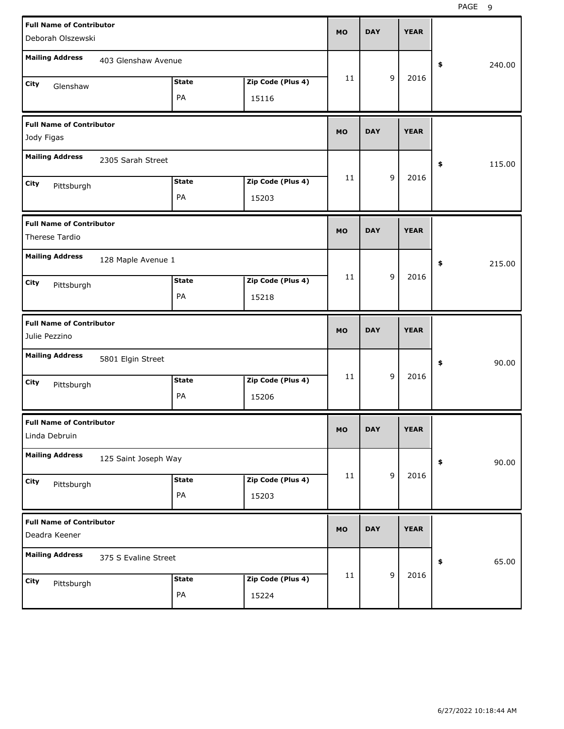| <b>Full Name of Contributor</b><br>Deborah Olszewski |                      |              |                   | <b>MO</b> | <b>DAY</b> |   | <b>YEAR</b> |              |
|------------------------------------------------------|----------------------|--------------|-------------------|-----------|------------|---|-------------|--------------|
|                                                      |                      |              |                   |           |            |   |             |              |
| <b>Mailing Address</b>                               | 403 Glenshaw Avenue  |              |                   |           |            |   |             | \$<br>240.00 |
| City<br>Glenshaw                                     |                      | <b>State</b> | Zip Code (Plus 4) | 11        |            | 9 | 2016        |              |
|                                                      |                      | PA           | 15116             |           |            |   |             |              |
| <b>Full Name of Contributor</b>                      |                      |              |                   | <b>MO</b> | <b>DAY</b> |   | <b>YEAR</b> |              |
| Jody Figas                                           |                      |              |                   |           |            |   |             |              |
| <b>Mailing Address</b>                               | 2305 Sarah Street    |              |                   |           |            |   |             | \$<br>115.00 |
| City                                                 |                      | <b>State</b> | Zip Code (Plus 4) | 11        |            | 9 | 2016        |              |
| Pittsburgh                                           |                      | PA           | 15203             |           |            |   |             |              |
| <b>Full Name of Contributor</b>                      |                      |              |                   |           |            |   |             |              |
| Therese Tardio                                       |                      |              |                   | <b>MO</b> | <b>DAY</b> |   | <b>YEAR</b> |              |
| <b>Mailing Address</b>                               | 128 Maple Avenue 1   |              |                   |           |            |   |             | \$<br>215.00 |
| City<br>Pittsburgh                                   |                      | <b>State</b> | Zip Code (Plus 4) | 11        |            | 9 | 2016        |              |
|                                                      |                      | PA           | 15218             |           |            |   |             |              |
|                                                      |                      |              |                   |           |            |   |             |              |
| <b>Full Name of Contributor</b>                      |                      |              |                   |           |            |   |             |              |
| Julie Pezzino                                        |                      |              |                   | <b>MO</b> | <b>DAY</b> |   | <b>YEAR</b> |              |
| <b>Mailing Address</b>                               | 5801 Elgin Street    |              |                   |           |            |   |             | \$<br>90.00  |
| City                                                 |                      | <b>State</b> | Zip Code (Plus 4) | 11        |            | 9 | 2016        |              |
| Pittsburgh                                           |                      | PA           | 15206             |           |            |   |             |              |
| <b>Full Name of Contributor</b>                      |                      |              |                   |           |            |   |             |              |
| Linda Debruin                                        |                      |              |                   | <b>MO</b> | DAY        |   | <b>YEAR</b> |              |
| <b>Mailing Address</b>                               | 125 Saint Joseph Way |              |                   |           |            |   |             | \$<br>90.00  |
| City                                                 |                      | <b>State</b> | Zip Code (Plus 4) | 11        |            | 9 | 2016        |              |
| Pittsburgh                                           |                      | PA           | 15203             |           |            |   |             |              |
| <b>Full Name of Contributor</b>                      |                      |              |                   |           |            |   |             |              |
| Deadra Keener                                        |                      |              |                   | <b>MO</b> | <b>DAY</b> |   | <b>YEAR</b> |              |
| <b>Mailing Address</b>                               | 375 S Evaline Street |              |                   |           |            |   |             | \$<br>65.00  |
| City<br>Pittsburgh                                   |                      | <b>State</b> | Zip Code (Plus 4) | 11        |            | 9 | 2016        |              |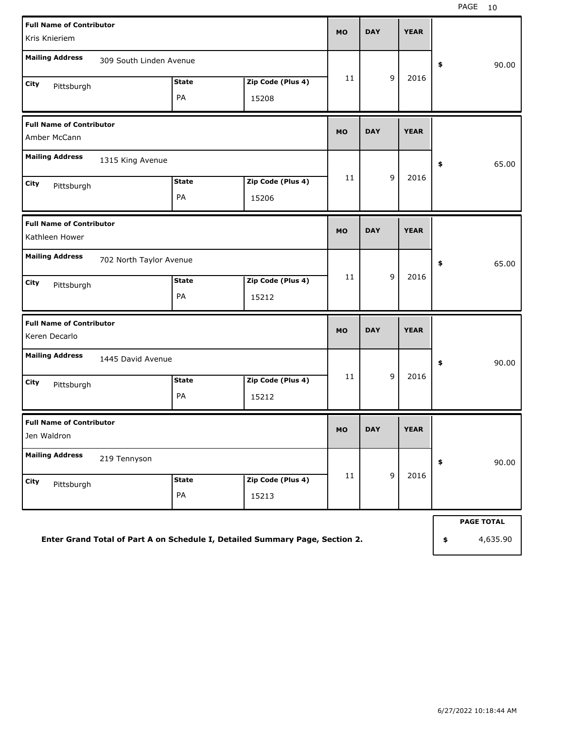| <b>Full Name of Contributor</b><br>Kris Knieriem  |                         |                    |                                                                              | <b>MO</b> | <b>DAY</b> | <b>YEAR</b> |                   |
|---------------------------------------------------|-------------------------|--------------------|------------------------------------------------------------------------------|-----------|------------|-------------|-------------------|
| <b>Mailing Address</b>                            | 309 South Linden Avenue |                    |                                                                              |           |            |             | \$<br>90.00       |
| City<br>Pittsburgh                                |                         | <b>State</b><br>PA | Zip Code (Plus 4)<br>15208                                                   | 11        | 9          | 2016        |                   |
| <b>Full Name of Contributor</b><br>Amber McCann   |                         |                    |                                                                              | <b>MO</b> | <b>DAY</b> | <b>YEAR</b> |                   |
| <b>Mailing Address</b><br>City<br>Pittsburgh      | 1315 King Avenue        | <b>State</b><br>PA | Zip Code (Plus 4)<br>15206                                                   | 11        | 9          | 2016        | \$<br>65.00       |
| <b>Full Name of Contributor</b><br>Kathleen Hower |                         |                    |                                                                              | <b>MO</b> | <b>DAY</b> | <b>YEAR</b> |                   |
| <b>Mailing Address</b>                            | 702 North Taylor Avenue |                    |                                                                              |           |            |             | \$<br>65.00       |
| City<br>Pittsburgh                                |                         | <b>State</b><br>PA | Zip Code (Plus 4)<br>15212                                                   | 11        | 9          | 2016        |                   |
| <b>Full Name of Contributor</b><br>Keren Decarlo  |                         |                    |                                                                              | <b>MO</b> | <b>DAY</b> | <b>YEAR</b> |                   |
| <b>Mailing Address</b><br>City<br>Pittsburgh      | 1445 David Avenue       | <b>State</b><br>PA | Zip Code (Plus 4)<br>15212                                                   | 11        | 9          | 2016        | \$<br>90.00       |
| <b>Full Name of Contributor</b><br>Jen Waldron    |                         |                    |                                                                              | <b>MO</b> | <b>DAY</b> | <b>YEAR</b> |                   |
| <b>Mailing Address</b>                            | 219 Tennyson            |                    |                                                                              |           |            |             | \$<br>90.00       |
| City<br>Pittsburgh                                |                         | <b>State</b><br>PA | Zip Code (Plus 4)<br>15213                                                   | 11        | 9          | 2016        |                   |
|                                                   |                         |                    |                                                                              |           |            |             | <b>PAGE TOTAL</b> |
|                                                   |                         |                    | Enter Grand Total of Part A on Schedule I, Detailed Summary Page, Section 2. |           |            |             | \$<br>4,635.90    |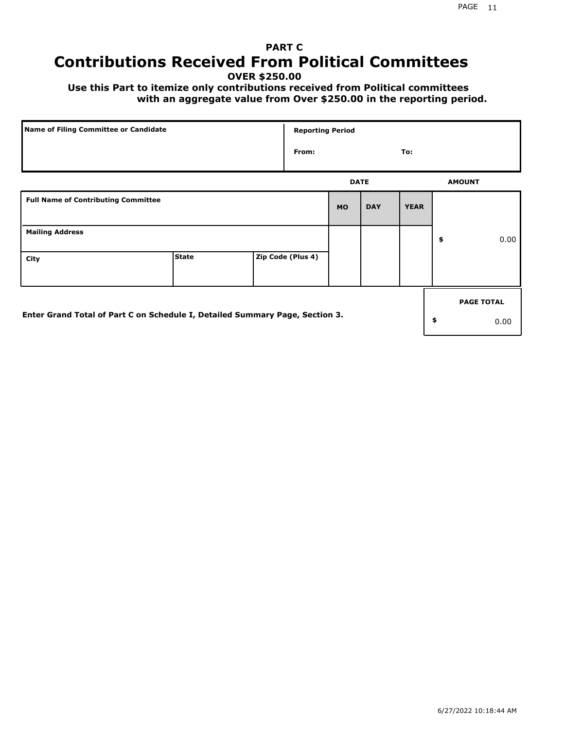# **PART C Contributions Received From Political Committees**

**OVER \$250.00**

 **Use this Part to itemize only contributions received from Political committees with an aggregate value from Over \$250.00 in the reporting period.**

| Name of Filing Committee or Candidate                                        |              | <b>Reporting Period</b> |             |            |             |                   |
|------------------------------------------------------------------------------|--------------|-------------------------|-------------|------------|-------------|-------------------|
|                                                                              |              | From:                   |             |            | To:         |                   |
|                                                                              |              |                         | <b>DATE</b> |            |             | <b>AMOUNT</b>     |
| <b>Full Name of Contributing Committee</b>                                   |              |                         | <b>MO</b>   | <b>DAY</b> | <b>YEAR</b> |                   |
| <b>Mailing Address</b>                                                       |              |                         |             |            |             | \$<br>0.00        |
| City                                                                         | <b>State</b> | Zip Code (Plus 4)       |             |            |             |                   |
|                                                                              |              |                         |             |            |             | <b>PAGE TOTAL</b> |
| Enter Grand Total of Part C on Schedule I, Detailed Summary Page, Section 3. |              |                         |             |            |             | \$<br>0.00        |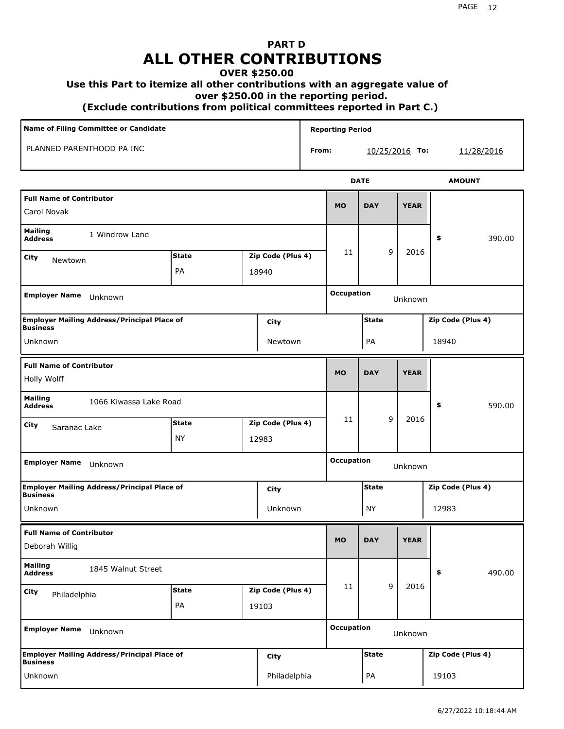## **PART D ALL OTHER CONTRIBUTIONS**

## **OVER \$250.00**

### **Use this Part to itemize all other contributions with an aggregate value of**

 **over \$250.00 in the reporting period.**

 **(Exclude contributions from political committees reported in Part C.)** 

| Name of Filing Committee or Candidate<br>PLANNED PARENTHOOD PA INC    |              |  |                   |       | <b>Reporting Period</b> |              |   |                |                   |            |  |
|-----------------------------------------------------------------------|--------------|--|-------------------|-------|-------------------------|--------------|---|----------------|-------------------|------------|--|
|                                                                       |              |  |                   | From: |                         |              |   | 10/25/2016 To: |                   | 11/28/2016 |  |
|                                                                       |              |  |                   |       |                         | <b>DATE</b>  |   |                | <b>AMOUNT</b>     |            |  |
| <b>Full Name of Contributor</b><br>Carol Novak                        |              |  |                   |       | <b>MO</b>               | <b>DAY</b>   |   | <b>YEAR</b>    |                   |            |  |
| <b>Mailing</b><br>1 Windrow Lane<br><b>Address</b>                    |              |  |                   |       |                         |              |   |                | \$                | 390.00     |  |
| City<br>Newtown                                                       | <b>State</b> |  | Zip Code (Plus 4) |       | 11                      |              | 9 | 2016           |                   |            |  |
|                                                                       | PA           |  | 18940             |       |                         |              |   |                |                   |            |  |
| <b>Employer Name</b><br>Unknown                                       |              |  |                   |       | <b>Occupation</b>       |              |   | Unknown        |                   |            |  |
| <b>Employer Mailing Address/Principal Place of</b><br><b>Business</b> |              |  | City              |       |                         | <b>State</b> |   |                | Zip Code (Plus 4) |            |  |
| Unknown                                                               |              |  | Newtown           |       |                         | PA           |   |                | 18940             |            |  |
| <b>Full Name of Contributor</b><br>Holly Wolff                        |              |  |                   |       | <b>MO</b>               | <b>DAY</b>   |   | <b>YEAR</b>    |                   |            |  |
| <b>Mailing</b><br>1066 Kiwassa Lake Road<br><b>Address</b>            |              |  |                   |       |                         |              |   |                | \$                | 590.00     |  |
| City<br>Saranac Lake                                                  | <b>State</b> |  | Zip Code (Plus 4) |       | 11                      |              | 9 | 2016           |                   |            |  |
|                                                                       | <b>NY</b>    |  | 12983             |       |                         |              |   |                |                   |            |  |
| <b>Employer Name</b><br>Unknown                                       |              |  |                   |       | <b>Occupation</b>       |              |   | Unknown        |                   |            |  |
| <b>Employer Mailing Address/Principal Place of</b><br><b>Business</b> |              |  | City              |       |                         | <b>State</b> |   |                | Zip Code (Plus 4) |            |  |
| Unknown                                                               |              |  | Unknown           |       |                         | <b>NY</b>    |   |                | 12983             |            |  |
| <b>Full Name of Contributor</b><br>Deborah Willig                     |              |  |                   |       | <b>MO</b>               | <b>DAY</b>   |   | <b>YEAR</b>    |                   |            |  |
| <b>Mailing</b><br>1845 Walnut Street<br><b>Address</b>                |              |  |                   |       |                         |              |   |                | \$                | 490.00     |  |
| City<br>Philadelphia                                                  | <b>State</b> |  | Zip Code (Plus 4) |       | 11                      |              | 9 | 2016           |                   |            |  |
|                                                                       | PA           |  | 19103             |       |                         |              |   |                |                   |            |  |
| <b>Employer Name</b><br>Unknown                                       |              |  |                   |       | <b>Occupation</b>       |              |   | Unknown        |                   |            |  |
| <b>Employer Mailing Address/Principal Place of</b><br><b>Business</b> |              |  | City              |       |                         | <b>State</b> |   |                | Zip Code (Plus 4) |            |  |
| Unknown                                                               |              |  | Philadelphia      |       |                         | PA           |   |                | 19103             |            |  |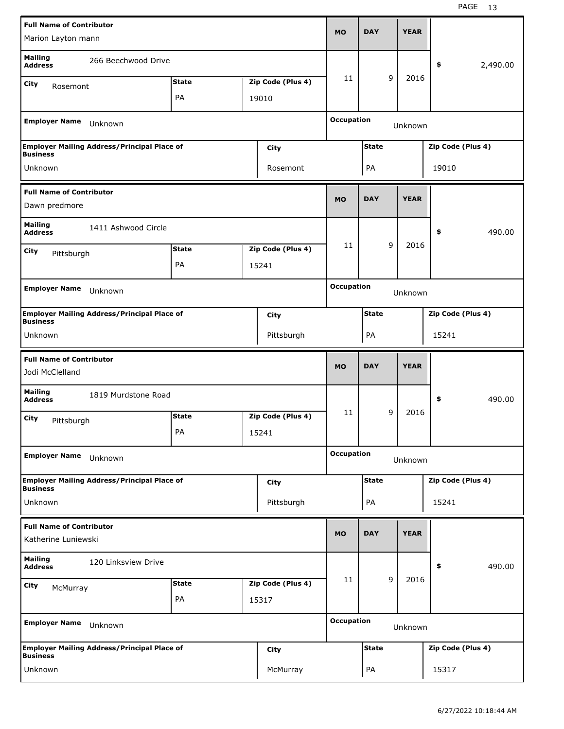| <b>Full Name of Contributor</b>                                           |                                                    |              |                   | <b>MO</b>         | <b>DAY</b>   |   | <b>YEAR</b> |                   |          |
|---------------------------------------------------------------------------|----------------------------------------------------|--------------|-------------------|-------------------|--------------|---|-------------|-------------------|----------|
| Marion Layton mann                                                        |                                                    |              |                   |                   |              |   |             |                   |          |
| <b>Mailing</b><br><b>Address</b>                                          | 266 Beechwood Drive                                |              |                   |                   |              |   |             | \$                | 2,490.00 |
| City<br>Rosemont                                                          |                                                    | <b>State</b> | Zip Code (Plus 4) | 11                |              | 9 | 2016        |                   |          |
|                                                                           |                                                    | PA           | 19010             |                   |              |   |             |                   |          |
| <b>Employer Name</b>                                                      | Unknown                                            |              |                   | <b>Occupation</b> |              |   | Unknown     |                   |          |
| <b>Business</b>                                                           | <b>Employer Mailing Address/Principal Place of</b> |              | City              |                   | <b>State</b> |   |             | Zip Code (Plus 4) |          |
| Unknown                                                                   |                                                    |              | Rosemont          |                   | PA           |   |             | 19010             |          |
| <b>Full Name of Contributor</b>                                           |                                                    |              |                   |                   |              |   |             |                   |          |
| Dawn predmore                                                             |                                                    |              |                   | <b>MO</b>         | <b>DAY</b>   |   | <b>YEAR</b> |                   |          |
| <b>Mailing</b><br><b>Address</b>                                          | 1411 Ashwood Circle                                |              |                   |                   |              |   |             | \$                | 490.00   |
| City<br>Pittsburgh                                                        |                                                    | <b>State</b> | Zip Code (Plus 4) | 11                |              | 9 | 2016        |                   |          |
|                                                                           |                                                    | PA           | 15241             |                   |              |   |             |                   |          |
|                                                                           |                                                    |              |                   |                   |              |   |             |                   |          |
| <b>Employer Name</b>                                                      | Unknown                                            |              |                   | <b>Occupation</b> |              |   | Unknown     |                   |          |
| <b>Business</b>                                                           | <b>Employer Mailing Address/Principal Place of</b> |              | City              |                   | <b>State</b> |   |             | Zip Code (Plus 4) |          |
| Unknown                                                                   |                                                    |              | Pittsburgh        |                   | PA           |   |             | 15241             |          |
|                                                                           |                                                    |              |                   |                   |              |   |             |                   |          |
| <b>Full Name of Contributor</b><br>Jodi McClelland                        |                                                    |              |                   | <b>MO</b>         | <b>DAY</b>   |   | <b>YEAR</b> |                   |          |
| <b>Mailing</b><br><b>Address</b>                                          | 1819 Murdstone Road                                |              |                   |                   |              |   |             | \$                | 490.00   |
|                                                                           |                                                    | <b>State</b> | Zip Code (Plus 4) | 11                |              | 9 | 2016        |                   |          |
| City<br>Pittsburgh                                                        |                                                    | PA           | 15241             |                   |              |   |             |                   |          |
| <b>Employer Name</b>                                                      | Unknown                                            |              |                   | <b>Occupation</b> |              |   | Unknown     |                   |          |
|                                                                           | Employer Mailing Address/Principal Place of        |              | <b>City</b>       |                   | <b>State</b> |   |             | Zip Code (Plus 4) |          |
| Unknown                                                                   |                                                    |              | Pittsburgh        |                   | PA           |   |             | 15241             |          |
| <b>Business</b><br><b>Full Name of Contributor</b><br>Katherine Luniewski |                                                    |              |                   | <b>MO</b>         | <b>DAY</b>   |   | <b>YEAR</b> |                   |          |
| <b>Mailing</b><br><b>Address</b>                                          | 120 Linksview Drive                                |              |                   |                   |              |   |             | \$                | 490.00   |
|                                                                           |                                                    | <b>State</b> | Zip Code (Plus 4) | 11                |              | 9 | 2016        |                   |          |
| City<br>McMurray                                                          |                                                    | PA           | 15317             |                   |              |   |             |                   |          |
| <b>Employer Name</b>                                                      | Unknown                                            |              |                   | <b>Occupation</b> |              |   | Unknown     |                   |          |
| <b>Business</b>                                                           | <b>Employer Mailing Address/Principal Place of</b> |              | City              |                   | <b>State</b> |   |             | Zip Code (Plus 4) |          |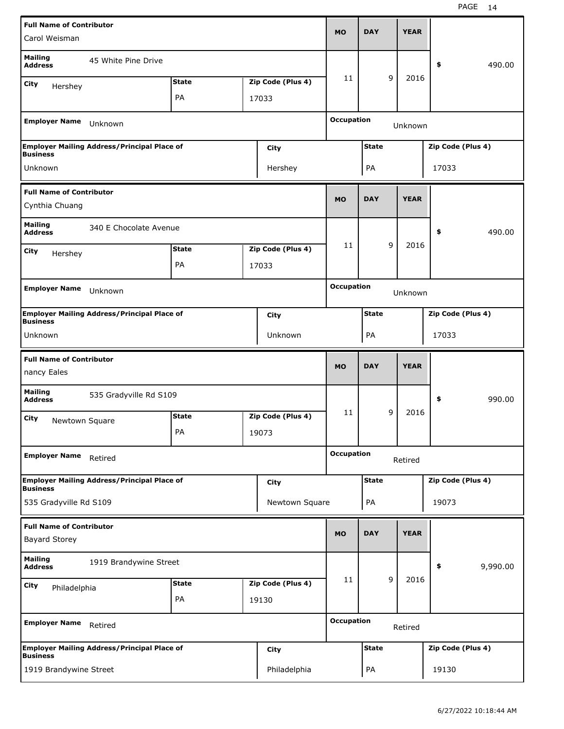| <b>Full Name of Contributor</b>                |                                                    |              |                   |                   |              |   |             |                   |          |
|------------------------------------------------|----------------------------------------------------|--------------|-------------------|-------------------|--------------|---|-------------|-------------------|----------|
| Carol Weisman                                  |                                                    |              |                   | <b>MO</b>         | <b>DAY</b>   |   | <b>YEAR</b> |                   |          |
| <b>Mailing</b><br><b>Address</b>               | 45 White Pine Drive                                |              |                   |                   |              |   |             | \$                | 490.00   |
| City<br>Hershey                                |                                                    | <b>State</b> | Zip Code (Plus 4) | 11                |              | 9 | 2016        |                   |          |
|                                                |                                                    | PA           | 17033             |                   |              |   |             |                   |          |
| <b>Employer Name</b>                           | Unknown                                            |              |                   | <b>Occupation</b> |              |   | Unknown     |                   |          |
|                                                | <b>Employer Mailing Address/Principal Place of</b> |              | City              |                   | <b>State</b> |   |             | Zip Code (Plus 4) |          |
| <b>Business</b><br>Unknown                     |                                                    |              | Hershey           |                   | PA           |   |             | 17033             |          |
| <b>Full Name of Contributor</b>                |                                                    |              |                   |                   |              |   |             |                   |          |
| Cynthia Chuang                                 |                                                    |              |                   | <b>MO</b>         | <b>DAY</b>   |   | <b>YEAR</b> |                   |          |
| <b>Mailing</b><br><b>Address</b>               | 340 E Chocolate Avenue                             |              |                   |                   |              |   |             | \$                | 490.00   |
| City<br>Hershey                                |                                                    | <b>State</b> | Zip Code (Plus 4) | 11                |              | 9 | 2016        |                   |          |
|                                                |                                                    | PA           | 17033             |                   |              |   |             |                   |          |
| <b>Employer Name</b>                           |                                                    |              |                   | <b>Occupation</b> |              |   |             |                   |          |
|                                                | Unknown                                            |              |                   |                   |              |   | Unknown     |                   |          |
| <b>Business</b>                                | <b>Employer Mailing Address/Principal Place of</b> |              | <b>City</b>       |                   | <b>State</b> |   |             | Zip Code (Plus 4) |          |
| Unknown                                        |                                                    |              | Unknown           |                   | PA           |   |             | 17033             |          |
|                                                |                                                    |              |                   |                   |              |   |             |                   |          |
| <b>Full Name of Contributor</b><br>nancy Eales |                                                    |              |                   | <b>MO</b>         | <b>DAY</b>   |   | <b>YEAR</b> |                   |          |
| <b>Mailing</b><br><b>Address</b>               | 535 Gradyville Rd S109                             |              |                   |                   |              |   |             | \$                | 990.00   |
| City                                           |                                                    | <b>State</b> | Zip Code (Plus 4) | 11                |              | 9 | 2016        |                   |          |
| Newtown Square                                 |                                                    | PA           | 19073             |                   |              |   |             |                   |          |
| <b>Employer Name</b>                           | Retired                                            |              |                   | <b>Occupation</b> |              |   | Retired     |                   |          |
|                                                | <b>Employer Mailing Address/Principal Place of</b> |              | <b>City</b>       |                   | <b>State</b> |   |             | Zip Code (Plus 4) |          |
| <b>Business</b><br>535 Gradyville Rd S109      |                                                    |              | Newtown Square    |                   | PA           |   |             | 19073             |          |
| <b>Full Name of Contributor</b>                |                                                    |              |                   |                   |              |   |             |                   |          |
| <b>Bayard Storey</b>                           |                                                    |              |                   | <b>MO</b>         | <b>DAY</b>   |   | <b>YEAR</b> |                   |          |
| <b>Mailing</b><br><b>Address</b>               | 1919 Brandywine Street                             |              |                   |                   |              |   |             | \$                | 9,990.00 |
| <b>City</b><br>Philadelphia                    |                                                    | <b>State</b> | Zip Code (Plus 4) | 11                |              | 9 | 2016        |                   |          |
|                                                |                                                    | PA           | 19130             |                   |              |   |             |                   |          |
| <b>Employer Name</b>                           | Retired                                            |              |                   | <b>Occupation</b> |              |   | Retired     |                   |          |
| <b>Business</b>                                | <b>Employer Mailing Address/Principal Place of</b> |              | <b>City</b>       |                   | <b>State</b> |   |             | Zip Code (Plus 4) |          |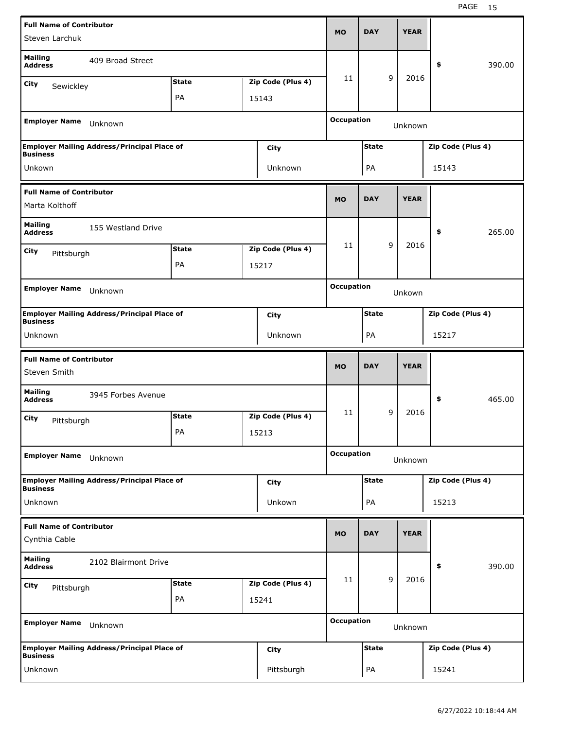| <b>Full Name of Contributor</b>  |                                                    |              |                   |                   | <b>DAY</b>   |   | <b>YEAR</b> |                   |        |
|----------------------------------|----------------------------------------------------|--------------|-------------------|-------------------|--------------|---|-------------|-------------------|--------|
| Steven Larchuk                   |                                                    |              |                   | <b>MO</b>         |              |   |             |                   |        |
| <b>Mailing</b><br><b>Address</b> | 409 Broad Street                                   |              |                   |                   |              |   |             | \$                | 390.00 |
| City<br>Sewickley                |                                                    | <b>State</b> | Zip Code (Plus 4) | 11                |              | 9 | 2016        |                   |        |
|                                  |                                                    | PA           | 15143             |                   |              |   |             |                   |        |
| <b>Employer Name</b>             | Unknown                                            |              |                   | <b>Occupation</b> |              |   | Unknown     |                   |        |
| <b>Business</b>                  | <b>Employer Mailing Address/Principal Place of</b> |              | City              |                   | <b>State</b> |   |             | Zip Code (Plus 4) |        |
| Unkown                           |                                                    |              | Unknown           |                   | PA           |   |             | 15143             |        |
| <b>Full Name of Contributor</b>  |                                                    |              |                   |                   |              |   |             |                   |        |
| Marta Kolthoff                   |                                                    |              |                   | <b>MO</b>         | <b>DAY</b>   |   | <b>YEAR</b> |                   |        |
| <b>Mailing</b><br><b>Address</b> | 155 Westland Drive                                 |              |                   |                   |              |   |             | \$                | 265.00 |
| City<br>Pittsburgh               |                                                    | <b>State</b> | Zip Code (Plus 4) | 11                |              | 9 | 2016        |                   |        |
|                                  |                                                    | PA           | 15217             |                   |              |   |             |                   |        |
|                                  |                                                    |              |                   | <b>Occupation</b> |              |   |             |                   |        |
| <b>Employer Name</b>             | Unknown                                            |              |                   |                   |              |   | Unkown      |                   |        |
| <b>Business</b>                  | <b>Employer Mailing Address/Principal Place of</b> |              | City              |                   | <b>State</b> |   |             | Zip Code (Plus 4) |        |
| Unknown                          |                                                    |              | Unknown           |                   | PA           |   |             | 15217             |        |
|                                  |                                                    |              |                   |                   |              |   |             |                   |        |
| <b>Full Name of Contributor</b>  |                                                    |              |                   |                   | <b>DAY</b>   |   | <b>YEAR</b> |                   |        |
| Steven Smith                     |                                                    |              |                   | <b>MO</b>         |              |   |             |                   |        |
| <b>Mailing</b><br><b>Address</b> | 3945 Forbes Avenue                                 |              |                   |                   |              |   |             | \$                | 465.00 |
| City<br>Pittsburgh               |                                                    | <b>State</b> | Zip Code (Plus 4) | 11                |              | 9 | 2016        |                   |        |
|                                  |                                                    | PA           | 15213             |                   |              |   |             |                   |        |
| <b>Employer Name</b>             | Unknown                                            |              |                   | <b>Occupation</b> |              |   | Unknown     |                   |        |
| Business                         | <b>Employer Mailing Address/Principal Place of</b> |              | City              |                   | <b>State</b> |   |             | Zip Code (Plus 4) |        |
| Unknown                          |                                                    |              | Unkown            |                   | PA           |   |             | 15213             |        |
| <b>Full Name of Contributor</b>  |                                                    |              |                   |                   |              |   |             |                   |        |
| Cynthia Cable                    |                                                    |              |                   | <b>MO</b>         | <b>DAY</b>   |   | <b>YEAR</b> |                   |        |
| <b>Mailing</b><br><b>Address</b> | 2102 Blairmont Drive                               |              |                   |                   |              |   |             | \$                | 390.00 |
| City                             |                                                    | <b>State</b> | Zip Code (Plus 4) | 11                |              | 9 | 2016        |                   |        |
| Pittsburgh                       |                                                    | PA           | 15241             |                   |              |   |             |                   |        |
| <b>Employer Name</b>             | Unknown                                            |              |                   | <b>Occupation</b> |              |   | Unknown     |                   |        |
| <b>Business</b>                  | <b>Employer Mailing Address/Principal Place of</b> |              | City              |                   | <b>State</b> |   |             | Zip Code (Plus 4) |        |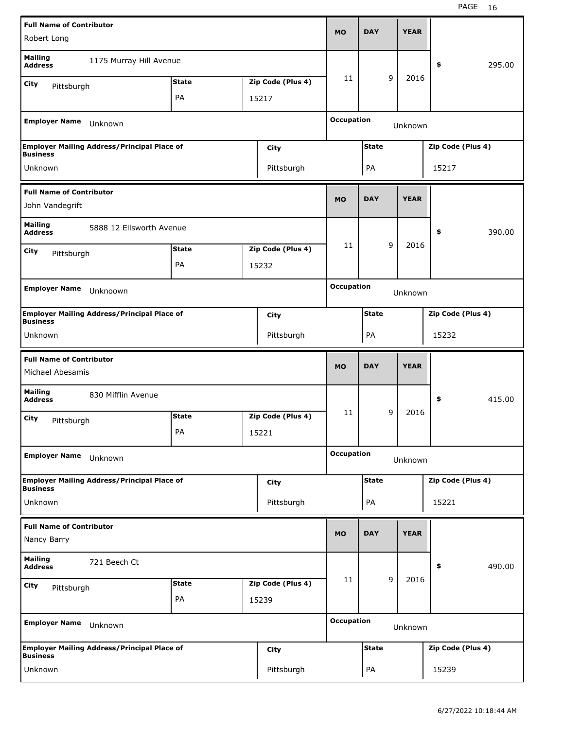| <b>Full Name of Contributor</b>                     |                                                    |              |  |                   | <b>MO</b>         |              |   |             |                   |        |
|-----------------------------------------------------|----------------------------------------------------|--------------|--|-------------------|-------------------|--------------|---|-------------|-------------------|--------|
| Robert Long                                         |                                                    |              |  |                   |                   | <b>DAY</b>   |   | <b>YEAR</b> |                   |        |
| <b>Mailing</b><br><b>Address</b>                    | 1175 Murray Hill Avenue                            |              |  |                   |                   |              |   |             | \$                | 295.00 |
| City<br>Pittsburgh                                  |                                                    | <b>State</b> |  | Zip Code (Plus 4) | 11                |              | 9 | 2016        |                   |        |
|                                                     |                                                    | PA           |  | 15217             |                   |              |   |             |                   |        |
| <b>Employer Name</b>                                | Unknown                                            |              |  |                   | <b>Occupation</b> |              |   | Unknown     |                   |        |
|                                                     | <b>Employer Mailing Address/Principal Place of</b> |              |  | City              |                   | <b>State</b> |   |             | Zip Code (Plus 4) |        |
| <b>Business</b><br>Unknown                          |                                                    |              |  | Pittsburgh        |                   | PA           |   |             | 15217             |        |
|                                                     |                                                    |              |  |                   |                   |              |   |             |                   |        |
| <b>Full Name of Contributor</b><br>John Vandegrift  |                                                    |              |  |                   | <b>MO</b>         | <b>DAY</b>   |   | <b>YEAR</b> |                   |        |
| <b>Mailing</b><br><b>Address</b>                    | 5888 12 Ellsworth Avenue                           |              |  |                   |                   |              |   |             | \$                | 390.00 |
| City<br>Pittsburgh                                  |                                                    | <b>State</b> |  | Zip Code (Plus 4) | 11                |              | 9 | 2016        |                   |        |
|                                                     |                                                    | PA           |  | 15232             |                   |              |   |             |                   |        |
|                                                     |                                                    |              |  |                   | <b>Occupation</b> |              |   |             |                   |        |
| <b>Employer Name</b>                                | Unknoown                                           |              |  |                   |                   |              |   | Unknown     |                   |        |
| <b>Business</b>                                     | Employer Mailing Address/Principal Place of        |              |  | <b>City</b>       |                   | <b>State</b> |   |             | Zip Code (Plus 4) |        |
| Unknown                                             |                                                    |              |  | Pittsburgh        |                   | PA           |   |             | 15232             |        |
|                                                     |                                                    |              |  |                   |                   |              |   |             |                   |        |
|                                                     |                                                    |              |  |                   |                   |              |   |             |                   |        |
| <b>Full Name of Contributor</b><br>Michael Abesamis |                                                    |              |  |                   | <b>MO</b>         | <b>DAY</b>   |   | <b>YEAR</b> |                   |        |
| <b>Mailing</b><br><b>Address</b>                    | 830 Mifflin Avenue                                 |              |  |                   |                   |              |   |             | \$                | 415.00 |
| City                                                |                                                    | <b>State</b> |  | Zip Code (Plus 4) | 11                |              | 9 | 2016        |                   |        |
| Pittsburgh                                          |                                                    | PA           |  | 15221             |                   |              |   |             |                   |        |
| <b>Employer Name</b>                                | Unknown                                            |              |  |                   | <b>Occupation</b> |              |   | Unknown     |                   |        |
| <b>Business</b>                                     | <b>Employer Mailing Address/Principal Place of</b> |              |  | <b>City</b>       |                   | <b>State</b> |   |             | Zip Code (Plus 4) |        |
| Unknown                                             |                                                    |              |  | Pittsburgh        |                   | PA           |   |             | 15221             |        |
| <b>Full Name of Contributor</b>                     |                                                    |              |  |                   | <b>MO</b>         | <b>DAY</b>   |   | <b>YEAR</b> |                   |        |
| Nancy Barry                                         |                                                    |              |  |                   |                   |              |   |             |                   |        |
| <b>Mailing</b><br><b>Address</b>                    | 721 Beech Ct                                       |              |  |                   |                   |              |   |             | \$                | 490.00 |
| City<br>Pittsburgh                                  |                                                    | <b>State</b> |  | Zip Code (Plus 4) | 11                |              | 9 | 2016        |                   |        |
|                                                     |                                                    | PA           |  | 15239             |                   |              |   |             |                   |        |
| <b>Employer Name</b>                                | Unknown                                            |              |  |                   | <b>Occupation</b> |              |   | Unknown     |                   |        |
| <b>Business</b>                                     | <b>Employer Mailing Address/Principal Place of</b> |              |  | <b>City</b>       |                   | <b>State</b> |   |             | Zip Code (Plus 4) |        |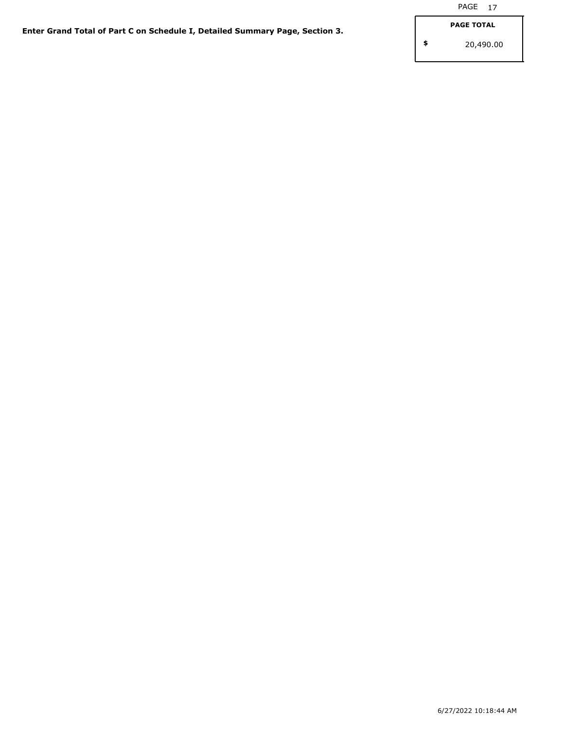**\$**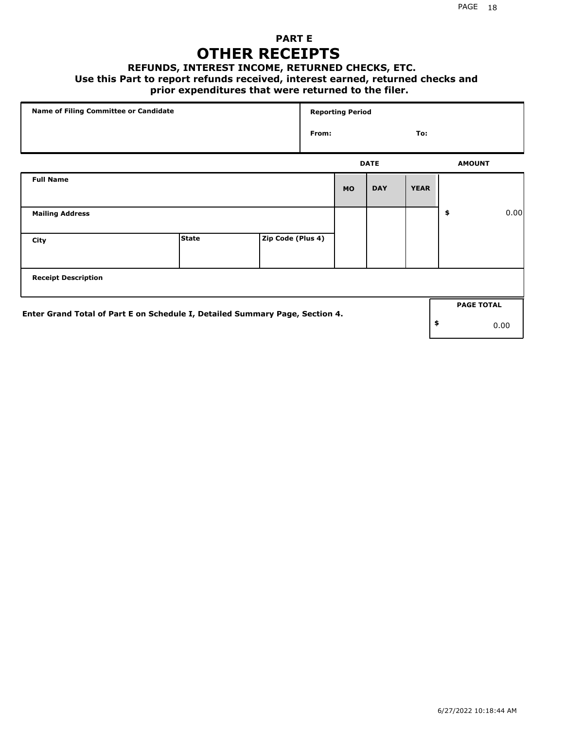## **PART E OTHER RECEIPTS**

#### **REFUNDS, INTEREST INCOME, RETURNED CHECKS, ETC.**

#### **Use this Part to report refunds received, interest earned, returned checks and**

## **prior expenditures that were returned to the filer.**

| Name of Filing Committee or Candidate                                        |              |                   |       | <b>Reporting Period</b> |             |             |                   |      |
|------------------------------------------------------------------------------|--------------|-------------------|-------|-------------------------|-------------|-------------|-------------------|------|
|                                                                              |              |                   | From: |                         |             | To:         |                   |      |
|                                                                              |              |                   |       |                         | <b>DATE</b> |             | <b>AMOUNT</b>     |      |
| <b>Full Name</b>                                                             |              |                   |       | <b>MO</b>               | <b>DAY</b>  | <b>YEAR</b> |                   |      |
| <b>Mailing Address</b>                                                       |              |                   |       |                         |             |             | \$                | 0.00 |
| City                                                                         | <b>State</b> | Zip Code (Plus 4) |       |                         |             |             |                   |      |
| <b>Receipt Description</b>                                                   |              |                   |       |                         |             |             |                   |      |
| Enter Grand Total of Part E on Schedule I, Detailed Summary Page, Section 4. |              |                   |       |                         |             |             | <b>PAGE TOTAL</b> |      |
|                                                                              |              |                   |       |                         |             |             | \$                | 0.00 |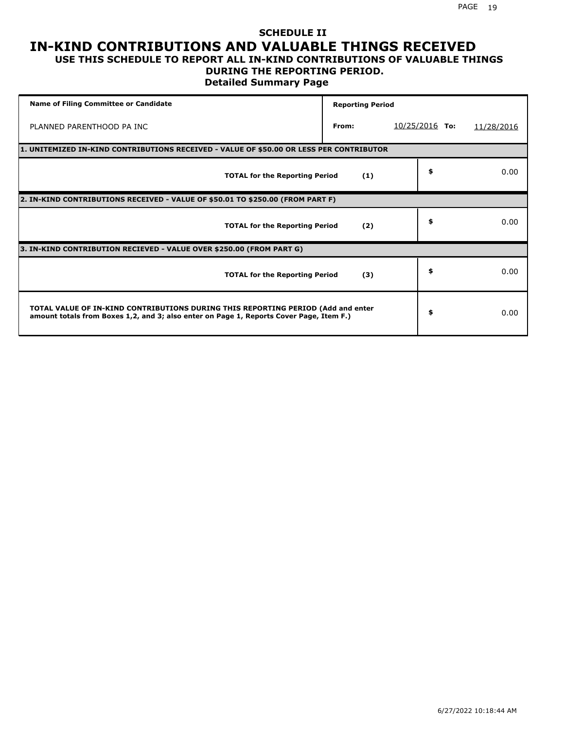### **SCHEDULE II IN-KIND CONTRIBUTIONS AND VALUABLE THINGS RECEIVED USE THIS SCHEDULE TO REPORT ALL IN-KIND CONTRIBUTIONS OF VALUABLE THINGS**

## **DURING THE REPORTING PERIOD.**

**Detailed Summary Page**

| <b>Name of Filing Committee or Candidate</b>                                                                                                                                | <b>Reporting Period</b> |                  |            |
|-----------------------------------------------------------------------------------------------------------------------------------------------------------------------------|-------------------------|------------------|------------|
| PLANNED PARENTHOOD PA INC                                                                                                                                                   | From:                   | $10/25/2016$ To: | 11/28/2016 |
| 1. UNITEMIZED IN-KIND CONTRIBUTIONS RECEIVED - VALUE OF \$50.00 OR LESS PER CONTRIBUTOR                                                                                     |                         |                  |            |
| <b>TOTAL for the Reporting Period</b>                                                                                                                                       | (1)                     | \$               | 0.00       |
| 2. IN-KIND CONTRIBUTIONS RECEIVED - VALUE OF \$50.01 TO \$250.00 (FROM PART F)                                                                                              |                         |                  |            |
| <b>TOTAL for the Reporting Period</b>                                                                                                                                       | (2)                     | \$               | 0.00       |
| 3. IN-KIND CONTRIBUTION RECIEVED - VALUE OVER \$250.00 (FROM PART G)                                                                                                        |                         |                  |            |
| <b>TOTAL for the Reporting Period</b>                                                                                                                                       | (3)                     | \$               | 0.00       |
| TOTAL VALUE OF IN-KIND CONTRIBUTIONS DURING THIS REPORTING PERIOD (Add and enter<br>amount totals from Boxes 1,2, and 3; also enter on Page 1, Reports Cover Page, Item F.) |                         | \$               | 0.00       |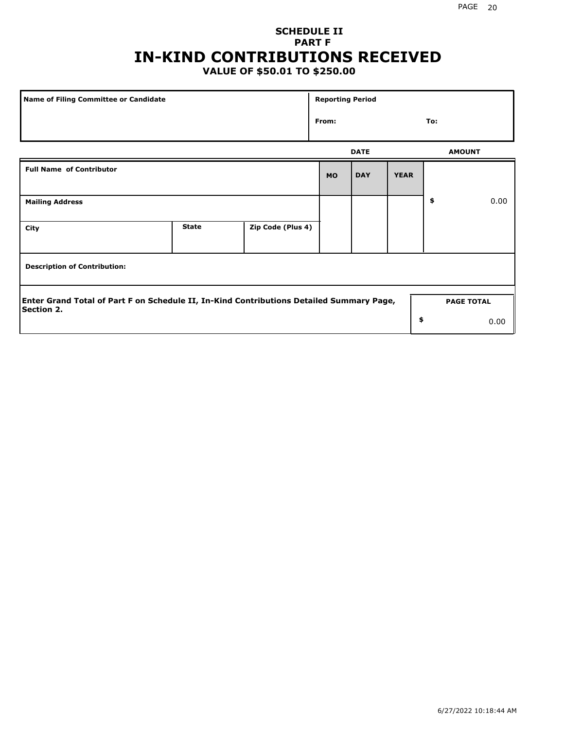## **SCHEDULE II PART F IN-KIND CONTRIBUTIONS RECEIVED**

## **VALUE OF \$50.01 TO \$250.00**

| Name of Filing Committee or Candidate                                                                         |              |                   |           | <b>Reporting Period</b> |             |               |                   |  |
|---------------------------------------------------------------------------------------------------------------|--------------|-------------------|-----------|-------------------------|-------------|---------------|-------------------|--|
| From:                                                                                                         |              |                   |           |                         |             | To:           |                   |  |
|                                                                                                               |              |                   |           | <b>DATE</b>             |             | <b>AMOUNT</b> |                   |  |
| <b>Full Name of Contributor</b>                                                                               |              |                   | <b>MO</b> | <b>DAY</b>              | <b>YEAR</b> |               |                   |  |
| <b>Mailing Address</b>                                                                                        |              |                   |           |                         |             | \$            | 0.00              |  |
| City                                                                                                          | <b>State</b> | Zip Code (Plus 4) |           |                         |             |               |                   |  |
| <b>Description of Contribution:</b>                                                                           |              |                   |           |                         |             |               |                   |  |
| Enter Grand Total of Part F on Schedule II, In-Kind Contributions Detailed Summary Page,<br><b>Section 2.</b> |              |                   |           |                         |             |               | <b>PAGE TOTAL</b> |  |
|                                                                                                               |              |                   |           |                         | \$          |               | 0.00              |  |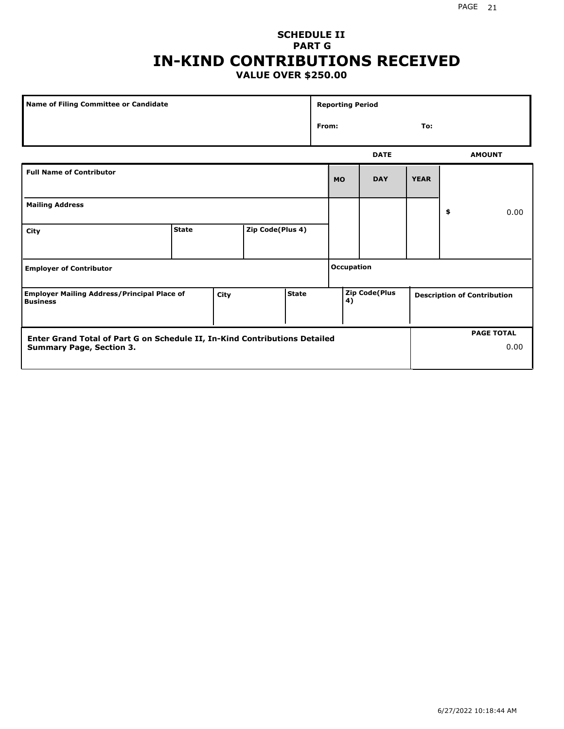#### PAGE 21

### **SCHEDULE II PART G IN-KIND CONTRIBUTIONS RECEIVED VALUE OVER \$250.00**

| <b>Name of Filing Committee or Candidate</b>                                                                  |              |      |                  |              | <b>Reporting Period</b> |            |                      |             |                                    |
|---------------------------------------------------------------------------------------------------------------|--------------|------|------------------|--------------|-------------------------|------------|----------------------|-------------|------------------------------------|
|                                                                                                               |              |      |                  |              | From:                   |            |                      | To:         |                                    |
|                                                                                                               |              |      |                  |              |                         |            | <b>DATE</b>          |             | <b>AMOUNT</b>                      |
| <b>Full Name of Contributor</b>                                                                               |              |      |                  |              |                         | <b>MO</b>  | <b>DAY</b>           | <b>YEAR</b> |                                    |
| <b>Mailing Address</b>                                                                                        |              |      |                  |              |                         |            |                      |             | \$<br>0.00                         |
| City                                                                                                          | <b>State</b> |      | Zip Code(Plus 4) |              |                         |            |                      |             |                                    |
| <b>Employer of Contributor</b>                                                                                |              |      |                  |              |                         | Occupation |                      |             |                                    |
| <b>Employer Mailing Address/Principal Place of</b><br><b>Business</b>                                         |              | City |                  | <b>State</b> |                         | 4)         | <b>Zip Code(Plus</b> |             | <b>Description of Contribution</b> |
| Enter Grand Total of Part G on Schedule II, In-Kind Contributions Detailed<br><b>Summary Page, Section 3.</b> |              |      |                  |              |                         |            |                      |             | <b>PAGE TOTAL</b><br>0.00          |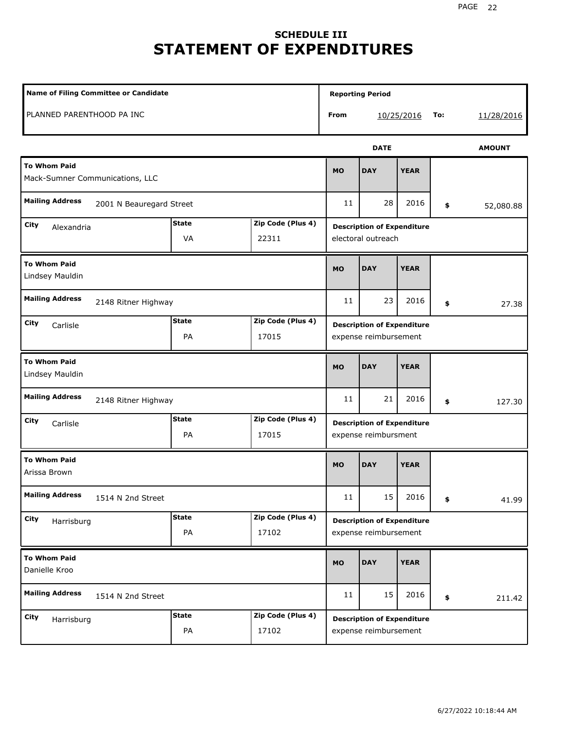# **SCHEDULE III STATEMENT OF EXPENDITURES**

| Name of Filing Committee or Candidate                                  |                    |                            |           | <b>Reporting Period</b>                                    |             |     |               |
|------------------------------------------------------------------------|--------------------|----------------------------|-----------|------------------------------------------------------------|-------------|-----|---------------|
| PLANNED PARENTHOOD PA INC                                              |                    |                            | From      |                                                            | 10/25/2016  | To: | 11/28/2016    |
|                                                                        |                    |                            |           | <b>DATE</b>                                                |             |     | <b>AMOUNT</b> |
| <b>To Whom Paid</b><br>Mack-Sumner Communications, LLC                 |                    |                            | <b>MO</b> | <b>DAY</b>                                                 | <b>YEAR</b> |     |               |
| <b>Mailing Address</b><br>2001 N Beauregard Street                     |                    |                            | 11        | 28                                                         | 2016        | \$  | 52,080.88     |
| <b>State</b><br>Zip Code (Plus 4)<br>City<br>Alexandria<br>VA<br>22311 |                    |                            |           | <b>Description of Expenditure</b><br>electoral outreach    |             |     |               |
| <b>To Whom Paid</b><br>Lindsey Mauldin                                 |                    |                            | <b>MO</b> | <b>DAY</b>                                                 | <b>YEAR</b> |     |               |
| <b>Mailing Address</b><br>2148 Ritner Highway                          |                    |                            | 11        | 23                                                         | 2016        | \$  | 27.38         |
| City<br>Carlisle                                                       | <b>State</b><br>PA | Zip Code (Plus 4)<br>17015 |           | <b>Description of Expenditure</b><br>expense reimbursement |             |     |               |
| <b>To Whom Paid</b><br>Lindsey Mauldin                                 |                    |                            | <b>MO</b> | <b>DAY</b>                                                 | <b>YEAR</b> |     |               |
| <b>Mailing Address</b><br>2148 Ritner Highway                          |                    |                            | 11        | 21                                                         | 2016        | \$  | 127.30        |
| City<br>Carlisle                                                       | <b>State</b><br>PA | Zip Code (Plus 4)<br>17015 |           | <b>Description of Expenditure</b><br>expense reimbursment  |             |     |               |
| <b>To Whom Paid</b><br>Arissa Brown                                    |                    |                            | <b>MO</b> | <b>DAY</b>                                                 | <b>YEAR</b> |     |               |
| <b>Mailing Address</b><br>1514 N 2nd Street                            |                    |                            | $11\,$    | 15                                                         | 2016        | \$  | 41.99         |
| City<br>Harrisburg                                                     | <b>State</b><br>PA | Zip Code (Plus 4)<br>17102 |           | <b>Description of Expenditure</b><br>expense reimbursement |             |     |               |
| <b>To Whom Paid</b><br>Danielle Kroo                                   |                    |                            | <b>MO</b> | <b>DAY</b>                                                 | <b>YEAR</b> |     |               |
| <b>Mailing Address</b><br>1514 N 2nd Street                            |                    |                            | 11        | 15                                                         | 2016        | \$  | 211.42        |
| City<br>Harrisburg                                                     | <b>State</b><br>PA | Zip Code (Plus 4)<br>17102 |           | <b>Description of Expenditure</b><br>expense reimbursement |             |     |               |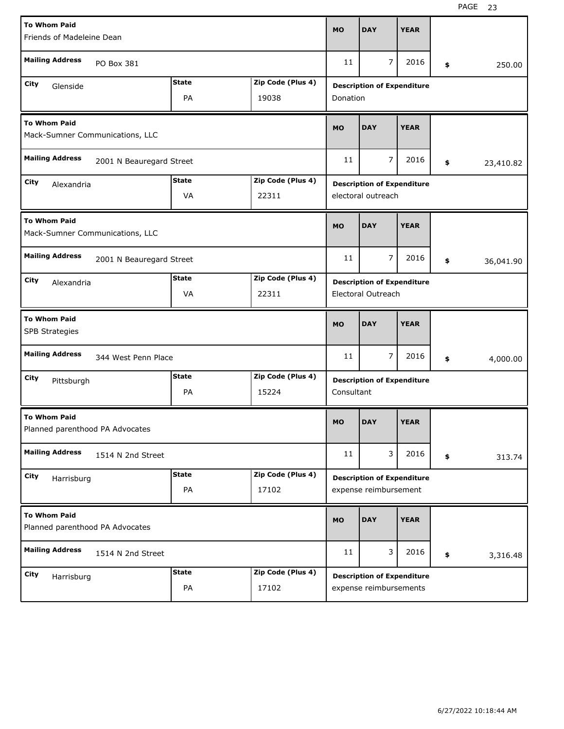| <b>To Whom Paid</b>                                    |              |                   |            |                                   |             |                 |
|--------------------------------------------------------|--------------|-------------------|------------|-----------------------------------|-------------|-----------------|
| Friends of Madeleine Dean                              |              |                   | <b>MO</b>  | <b>DAY</b>                        | <b>YEAR</b> |                 |
| <b>Mailing Address</b><br>PO Box 381                   |              |                   | 11         | $\overline{7}$                    | 2016        | \$<br>250.00    |
| City                                                   | <b>State</b> | Zip Code (Plus 4) |            |                                   |             |                 |
| Glenside                                               | PA           | 19038             | Donation   | <b>Description of Expenditure</b> |             |                 |
| <b>To Whom Paid</b><br>Mack-Sumner Communications, LLC |              |                   | <b>MO</b>  | <b>DAY</b>                        | <b>YEAR</b> |                 |
| <b>Mailing Address</b><br>2001 N Beauregard Street     |              |                   |            | $\overline{7}$                    | 2016        | \$<br>23,410.82 |
| City<br>Alexandria                                     | <b>State</b> | Zip Code (Plus 4) |            | <b>Description of Expenditure</b> |             |                 |
|                                                        | VA           | 22311             |            | electoral outreach                |             |                 |
| To Whom Paid<br>Mack-Sumner Communications, LLC        |              |                   | <b>MO</b>  | <b>DAY</b>                        | <b>YEAR</b> |                 |
| <b>Mailing Address</b><br>2001 N Beauregard Street     |              |                   | 11         | $\overline{7}$                    | 2016        | \$<br>36,041.90 |
| City<br>Alexandria                                     | <b>State</b> | Zip Code (Plus 4) |            | <b>Description of Expenditure</b> |             |                 |
|                                                        | VA           | 22311             |            | Electoral Outreach                |             |                 |
|                                                        |              |                   |            |                                   |             |                 |
| <b>To Whom Paid</b><br><b>SPB Strategies</b>           |              |                   | <b>MO</b>  | <b>DAY</b>                        | <b>YEAR</b> |                 |
| <b>Mailing Address</b><br>344 West Penn Place          |              |                   | 11         | 7                                 | 2016        | \$<br>4,000.00  |
| City                                                   | <b>State</b> | Zip Code (Plus 4) |            | <b>Description of Expenditure</b> |             |                 |
| Pittsburgh                                             | PA           | 15224             | Consultant |                                   |             |                 |
| <b>To Whom Paid</b><br>Planned parenthood PA Advocates |              |                   | <b>MO</b>  | <b>DAY</b>                        | <b>YEAR</b> |                 |
| <b>Mailing Address</b><br>1514 N 2nd Street            |              |                   | 11         | 3                                 | 2016        | \$<br>313.74    |
| City                                                   | <b>State</b> | Zip Code (Plus 4) |            | <b>Description of Expenditure</b> |             |                 |
| Harrisburg                                             | PA           | 17102             |            | expense reimbursement             |             |                 |
| <b>To Whom Paid</b><br>Planned parenthood PA Advocates |              |                   | <b>MO</b>  | <b>DAY</b>                        | <b>YEAR</b> |                 |
| <b>Mailing Address</b><br>1514 N 2nd Street            |              |                   | 11         | 3                                 | 2016        | \$<br>3,316.48  |
| City<br>Harrisburg                                     | <b>State</b> | Zip Code (Plus 4) |            | <b>Description of Expenditure</b> |             |                 |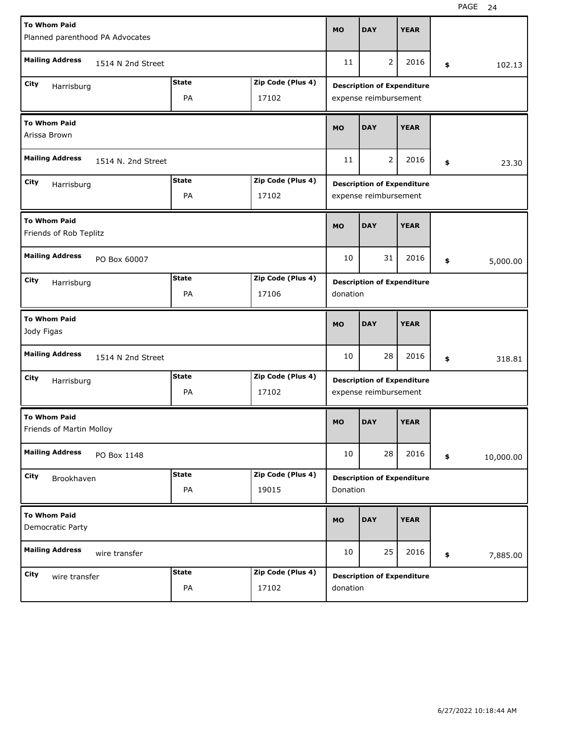| <b>To Whom Paid</b>                             | Planned parenthood PA Advocates |                            |             |                                                            |             |                 |
|-------------------------------------------------|---------------------------------|----------------------------|-------------|------------------------------------------------------------|-------------|-----------------|
| <b>Mailing Address</b>                          | 1514 N 2nd Street               |                            | 11          | $\overline{2}$                                             | 2016        | \$<br>102.13    |
| City<br>Harrisburg                              | <b>State</b><br>PA              | Zip Code (Plus 4)<br>17102 |             | <b>Description of Expenditure</b><br>expense reimbursement |             |                 |
| <b>To Whom Paid</b><br>Arissa Brown             | <b>MO</b>                       | <b>DAY</b>                 | <b>YEAR</b> |                                                            |             |                 |
| <b>Mailing Address</b><br>1514 N. 2nd Street    |                                 |                            |             | 2                                                          | 2016        | \$<br>23.30     |
| City<br>Harrisburg                              | <b>State</b><br>PA              | Zip Code (Plus 4)<br>17102 |             | <b>Description of Expenditure</b><br>expense reimbursement |             |                 |
| <b>To Whom Paid</b><br>Friends of Rob Teplitz   |                                 |                            | <b>MO</b>   | <b>DAY</b>                                                 | <b>YEAR</b> |                 |
| <b>Mailing Address</b><br>PO Box 60007          |                                 |                            | 10          | 31                                                         | 2016        | \$<br>5,000.00  |
| City<br>Harrisburg                              | <b>State</b><br>PA              | Zip Code (Plus 4)<br>17106 | donation    | <b>Description of Expenditure</b>                          |             |                 |
| <b>To Whom Paid</b><br>Jody Figas               |                                 |                            |             |                                                            |             |                 |
|                                                 |                                 |                            | <b>MO</b>   | <b>DAY</b>                                                 | <b>YEAR</b> |                 |
| <b>Mailing Address</b>                          | 1514 N 2nd Street               |                            | 10          | 28                                                         | 2016        | \$<br>318.81    |
| City<br>Harrisburg                              | <b>State</b><br>PA              | Zip Code (Plus 4)<br>17102 |             | <b>Description of Expenditure</b><br>expense reimbursement |             |                 |
| <b>To Whom Paid</b><br>Friends of Martin Molloy |                                 |                            | <b>MO</b>   | <b>DAY</b>                                                 | <b>YEAR</b> |                 |
| <b>Mailing Address</b><br>PO Box 1148           |                                 |                            | 10          | 28                                                         | 2016        | \$<br>10,000.00 |
| City<br>Brookhaven                              | <b>State</b><br>PA              | Zip Code (Plus 4)<br>19015 | Donation    | <b>Description of Expenditure</b>                          |             |                 |
| <b>To Whom Paid</b><br>Democratic Party         |                                 |                            | <b>MO</b>   | <b>DAY</b>                                                 | <b>YEAR</b> |                 |
| <b>Mailing Address</b><br>wire transfer         |                                 |                            | 10          | 25                                                         | 2016        | \$<br>7,885.00  |